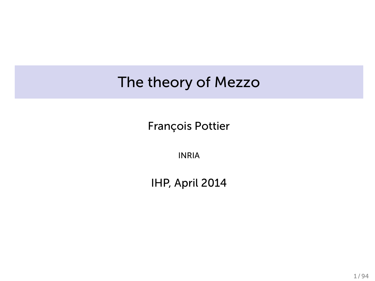### The theory of Mezzo

François Pottier

INRIA

IHP, April 2014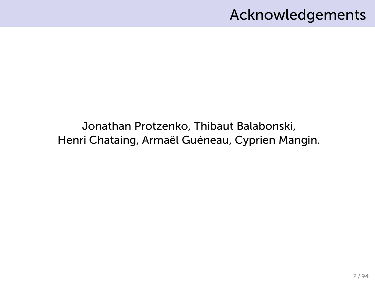### Acknowledgements

Jonathan Protzenko, Thibaut Balabonski, Henri Chataing, Armaël Guéneau, Cyprien Mangin.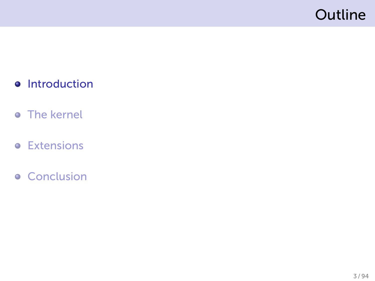## Outline

- **•** Introduction
- **•** The kernel
- **•** Extensions
- **•** Conclusion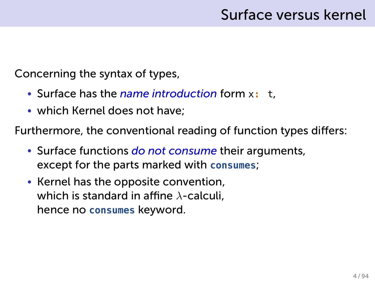Concerning the syntax of types,

- Surface has the *name introduction* form x**:** t,
- which Kernel does not have;

Furthermore, the conventional reading of function types differs:

- Surface functions *do not consume* their arguments, except for the parts marked with **consumes**;
- Kernel has the opposite convention, which is standard in affine *λ*-calculi, hence no **consumes** keyword.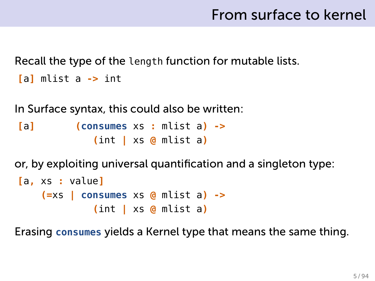```
Recall the type of the length function for mutable lists.
[a] mlist a -> int
```
In Surface syntax, this could also be written:

```
[a] (consumes xs : mlist a) ->
           (int | xs @ mlist a)
```
or, by exploiting universal quantification and a singleton type:

```
[a, xs : value]
    (=xs | consumes xs @ mlist a) ->
             (int | xs @ mlist a)
```
Erasing **consumes** yields a Kernel type that means the same thing.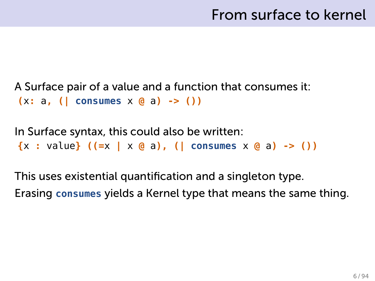A Surface pair of a value and a function that consumes it: **(**x**:** a**, (| consumes** x **@** a**) -> ())**

In Surface syntax, this could also be written: **{**x **:** value**} ((=**x **|** x **@** a**), (| consumes** x **@** a**) -> ())**

This uses existential quantification and a singleton type. Erasing **consumes** yields a Kernel type that means the same thing.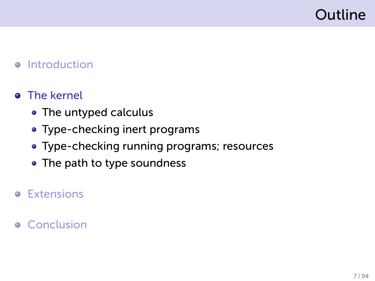## **Outline**

- **•** Introduction
- **•** The kernel
	- The untyped calculus
	- Type-checking inert programs
	- Type-checking running programs; resources
	- The path to type soundness
- **•** Extensions
- **Conclusion**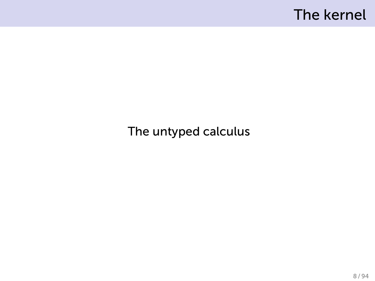### The kernel

#### The untyped calculus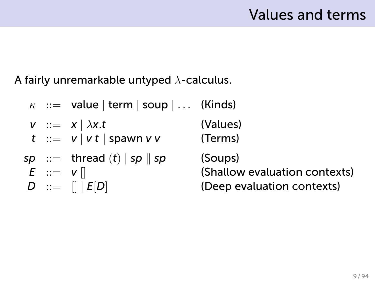### Values and terms

#### A fairly unremarkable untyped *λ*-calculus.

|                     | $\kappa$ ::= value   term   soup    (Kinds)                           |                               |
|---------------------|-----------------------------------------------------------------------|-------------------------------|
|                     | $V := X   \lambda x.t$<br>$t \ ::= \ v \   \ v \ t \  $ spawn $v \ v$ | (Values)<br>(Terms)           |
|                     | sp ::= thread $(t)$   sp    sp                                        | (Soups)                       |
| $E ::= v \parallel$ |                                                                       | (Shallow evaluation contexts) |
|                     | $D ::=   E[D] $                                                       | (Deep evaluation contexts)    |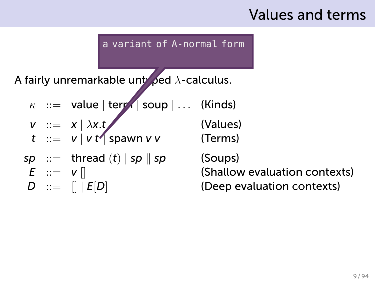### Values and terms

#### a variant of A-normal form

A fairly unremarkable unt<sup>y</sup> ped *λ*-calculus.

- *κ* ::= value *|* term *|* soup *| . . .* (Kinds)
- *v* ::= *x | λx.t* (Values)
- $t$  :=  $v | v t'$  spawn  $v v$
- $sp ::=$  thread  $(t) | sp \| sp$  (Soups)
- 

(Terms)

*E* ::= *v* [] (Shallow evaluation contexts)

*D* ::=  $\left[ \right] \left[ E[D] \right]$  (Deep evaluation contexts)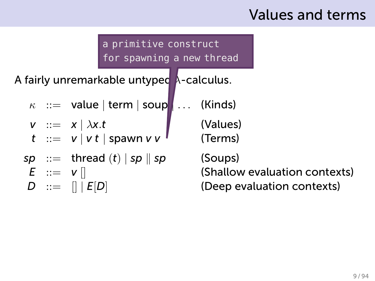### Values and terms

| a primitive construct |           |                                                        | for spawning a new thread |                               |
|-----------------------|-----------|--------------------------------------------------------|---------------------------|-------------------------------|
|                       |           | A fairly unremarkable untyped A-calculus.              |                           |                               |
|                       |           | $\kappa$ := value   term   soup                        | $\ldots$ (Kinds)          |                               |
|                       |           |                                                        | (Values)                  |                               |
|                       |           | $v := x   \lambda x.t$<br>$t := v   v t  $ spawn $v v$ | (Terms)                   |                               |
|                       |           | sp ::= thread $(t)$   sp    sp                         | (Soups)                   |                               |
|                       | $E ::= v$ |                                                        |                           | (Shallow evaluation contexts) |
|                       |           | $D ::= \parallel  E[D] $                               |                           | (Deep evaluation contexts)    |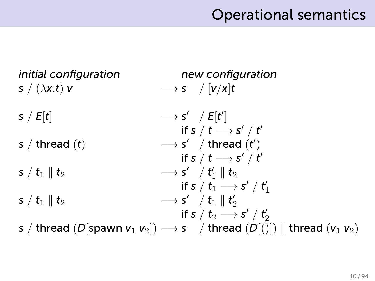### Operational semantics

| <i>initial configuration</i><br>s $/(\lambda x.t)$ v | new configuration<br>$\longrightarrow$ s / $[v/x]$ t                                                                     |
|------------------------------------------------------|--------------------------------------------------------------------------------------------------------------------------|
| s / E[t]                                             | $\longrightarrow$ s' / E[t']<br>if s / t $\longrightarrow$ s' / t'                                                       |
| s / thread $(t)$                                     | $\longrightarrow$ s' / thread $(t')$<br>if s / t $\longrightarrow$ s' / t'                                               |
| $s / t_1 \parallel t_2$                              | $\longrightarrow$ s' / t' <sub>1</sub>    t <sub>2</sub><br>if s / t <sub>1</sub> $\longrightarrow$ s' / t' <sub>1</sub> |
| $s / t_1 \parallel t_2$                              | $\longrightarrow$ s' / t <sub>1</sub>    t' <sub>2</sub><br>if s / $t_2 \longrightarrow s' / t'_2$                       |
|                                                      | s / thread (D[spawn $v_1$ $v_2$ ]) $\longrightarrow$ s / thread (D[()])    thread ( $v_1$ $v_2$ )                        |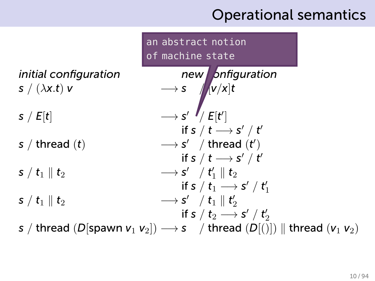### Operational semantics

|                              | an abstract notion<br>of machine state                                                                                                          |
|------------------------------|-------------------------------------------------------------------------------------------------------------------------------------------------|
| <i>initial configuration</i> |                                                                                                                                                 |
| s $/(\lambda x.t)$ v         |                                                                                                                                                 |
| s / E[t]                     | $\begin{CD} \overline{new} & \text{onfiguration} \\ \longrightarrow s & \sqrt{v/x} \text{t} \\ \longrightarrow s' & \text{f} \in [t'] \end{CD}$ |
|                              | if s / t $\longrightarrow$ s' / t'                                                                                                              |
| s / thread $(t)$             | $\longrightarrow$ s' / thread $(t')$                                                                                                            |
|                              | if s / t $\longrightarrow$ s' / t'                                                                                                              |
| $s / t_1 \parallel t_2$      | $\longrightarrow$ s' / t' <sub>1</sub>    t <sub>2</sub><br>if s / t <sub>1</sub> $\longrightarrow$ s' / t' <sub>1</sub>                        |
| $s / t_1 \parallel t_2$      | $\longrightarrow$ s' / t <sub>1</sub>    t' <sub>2</sub>                                                                                        |
|                              | if s / $t_2 \rightarrow s'$ / $t'_2$                                                                                                            |
|                              | s / thread (D[spawn $v_1$ $v_2$ ]) $\longrightarrow$ s / thread (D[()])    thread ( $v_1$ $v_2$ )                                               |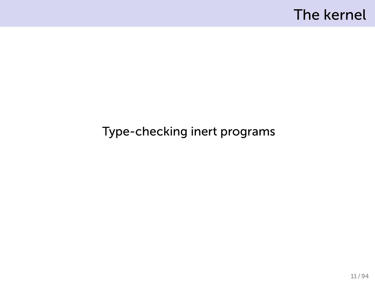### The kernel

#### Type-checking inert programs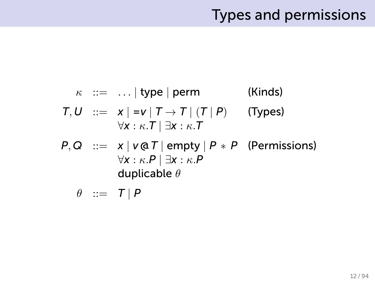### Types and permissions

$$
κ ::= ... | type | perm
$$
 (Kinds)  
\n
$$
T, U ::= x | = v | T \rightarrow T | (T | P)
$$
 (Types)  
\n
$$
∀x : κ. T | ∃x : κ. T
$$
  
\n
$$
P, Q ::= x | v@T | empty | P * P
$$
 (Permissions)  
\n
$$
∀x : κ. P | ∃x : κ. P
$$
  
\nduplicable θ

 $\theta$  ::=  $T | P$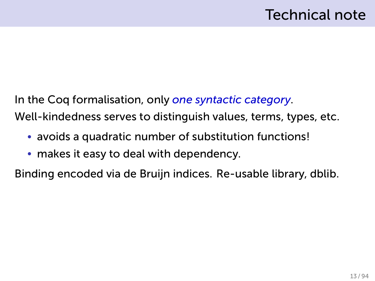## Technical note

In the Coq formalisation, only *one syntactic category*. Well-kindedness serves to distinguish values, terms, types, etc.

- avoids a quadratic number of substitution functions!
- makes it easy to deal with dependency.

Binding encoded via de Bruijn indices. Re-usable library, dblib.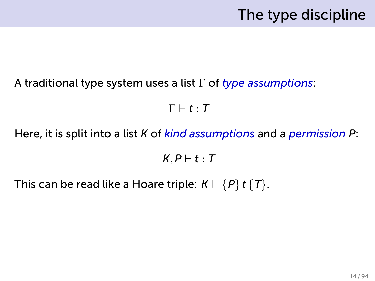#### A traditional type system uses a list Γ of *type assumptions*:

#### $\Gamma \vdash t : T$

Here, it is split into a list *K* of *kind assumptions* and a *permission P*:

*K, P ⊢ t* : *T*

This can be read like a Hoare triple:  $K \vdash \{P\}$  *t*  $\{T\}$ .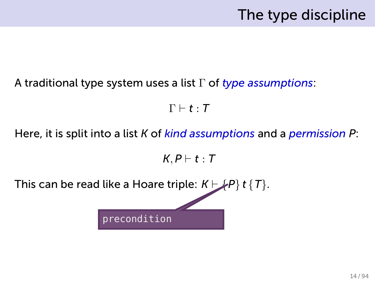#### A traditional type system uses a list Γ of *type assumptions*:

 $\Gamma \vdash t : T$ 

Here, it is split into a list *K* of *kind assumptions* and a *permission P*:

*K, P ⊢ t* : *T*

 $\mathsf{This \ can \ be \ read \ like \ a \ Hoare \ triple: \ \mathsf{K} \vdash \{\mathsf{P}\} \ \mathsf{t} \ \{\mathsf{T}\}.$ 

precondition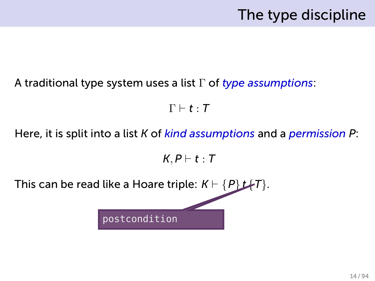#### A traditional type system uses a list Γ of *type assumptions*:

 $\Gamma \vdash t : T$ 

Here, it is split into a list *K* of *kind assumptions* and a *permission P*:

*K, P ⊢ t* : *T*

This can be read like a Hoare triple:  $K \vdash \{P\} t \{T\}$ . postcondition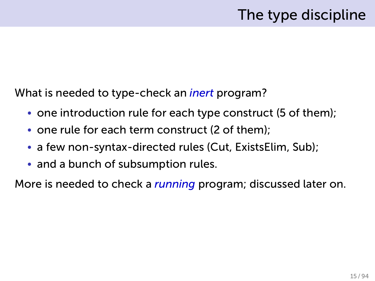## The type discipline

What is needed to type-check an *inert* program?

- one introduction rule for each type construct (5 of them);
- one rule for each term construct (2 of them);
- a few non-syntax-directed rules (Cut, ExistsElim, Sub);
- and a bunch of subsumption rules.

More is needed to check a *running* program; discussed later on.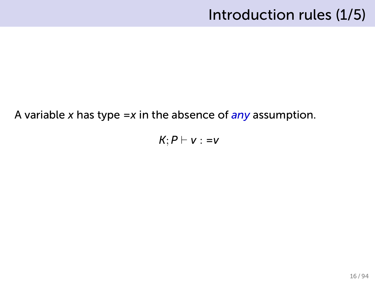### Introduction rules (1/5)

#### A variable *x* has type =*x* in the absence of *any* assumption.

 $K$ ;  $P$   $\vdash$   $v$  : =*v*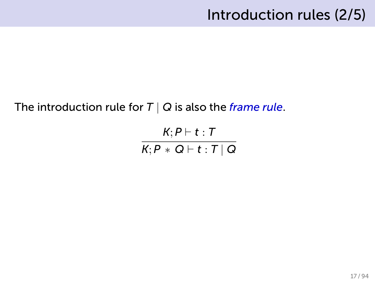### Introduction rules (2/5)

#### The introduction rule for *T | Q* is also the *frame rule*.

$$
\frac{K; P \vdash t : T}{K; P * Q \vdash t : T \mid Q}
$$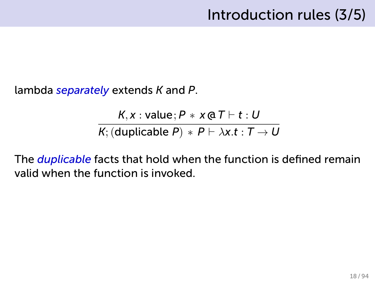lambda *separately* extends *K* and *P*.

 $K, x : \text{value}; P * x \text{ @ } T \vdash t : U$  $\overline{\mathcal{K}};$   $(\textsf{duplicable}\ \mathcal{P})\ \ast\ \mathcal{P}\vdash\lambda\mathsf{x}. \boldsymbol{t}: \mathcal{T}\to\mathcal{U}$ 

The *duplicable* facts that hold when the function is defined remain valid when the function is invoked.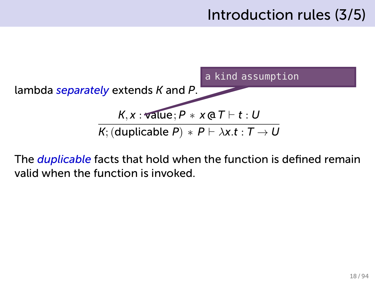### Introduction rules (3/5)



The *duplicable* facts that hold when the function is defined remain valid when the function is invoked.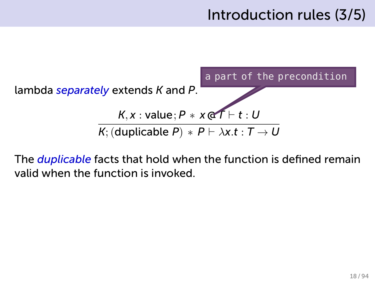### Introduction rules (3/5)



The *duplicable* facts that hold when the function is defined remain valid when the function is invoked.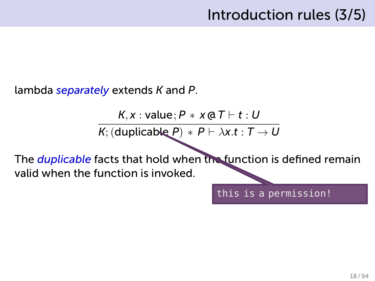lambda *separately* extends *K* and *P*.

 $K, x : \text{value}; P * x \text{ @ } T \vdash t : U$ 

 $K$ ;  $(\textsf{duplicable } P) * P \vdash \lambda x.t : T \rightarrow U$ 

The *duplicable* facts that hold when the function is defined remain valid when the function is invoked.

this is a permission!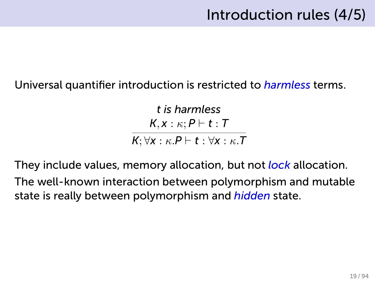#### Universal quantifier introduction is restricted to *harmless* terms.

*t is harmless K, x* : *κ*; *P ⊢ t* : *T K*; *∀x* : *κ.P ⊢ t* : *∀x* : *κ.T*

They include values, memory allocation, but not *lock* allocation.

The well-known interaction between polymorphism and mutable state is really between polymorphism and *hidden* state.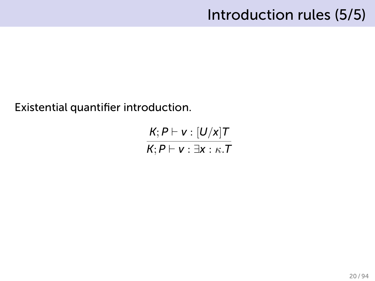### Introduction rules (5/5)

Existential quantifier introduction.

$$
\frac{K; P \vdash v : [U/x]T}{K; P \vdash v : \exists x : \kappa. T}
$$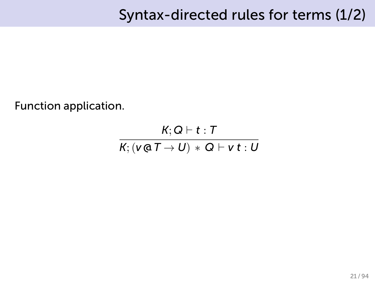### Syntax-directed rules for terms (1/2)

Function application.

$$
\frac{K; \, \Omega \vdash t : T}{K; \, (\nu \, \text{\&} \, T \rightarrow U) \, * \, \text{\&} \, \vdash \nu \, t : U}
$$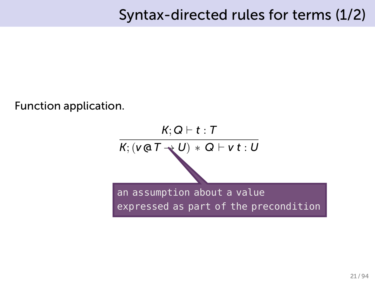### Syntax-directed rules for terms (1/2)

Function application.

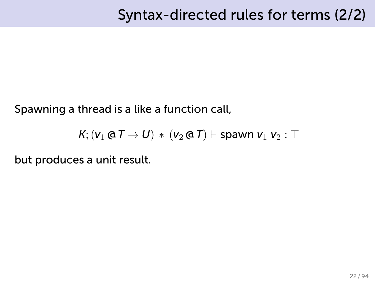Spawning a thread is a like a function call,

$$
\textit{K}; (\textit{v}_1 \mathrel{\mathbf{a}} \mathcal{T} \rightarrow \textit{U}) \, * \, (\textit{v}_2 \mathrel{\mathbf{a}} \mathcal{T}) \vdash \text{spawn } \textit{v}_1 \, \textit{v}_2 : \top
$$

but produces a unit result.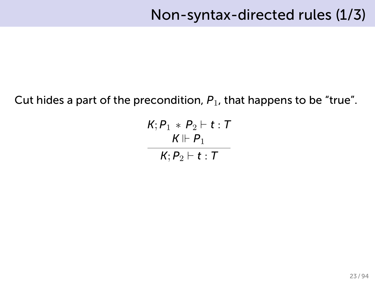# Non-syntax-directed rules (1/3)

Cut hides a part of the precondition,  $P_1$ , that happens to be "true".

$$
\frac{K; P_1 * P_2 \vdash t : T}{K; P_2 \vdash t : T}
$$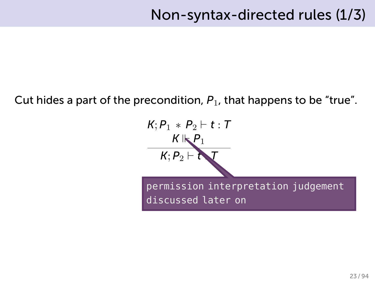# Non-syntax-directed rules (1/3)

Cut hides a part of the precondition,  $P_1$ , that happens to be "true".

$$
K; P_1 * P_2 \vdash t : T
$$
\n
$$
K!R_1
$$
\n
$$
K; P_2 \vdash t
$$
\n
$$
R; P_2 \vdash t
$$
\n
$$
P_1
$$
\n
$$
P_2
$$
\n
$$
R; P_3 \vdash t
$$
\n
$$
R; P_4 \vdash t
$$
\n
$$
R; P_5 \vdash t
$$
\n
$$
R; P_6 \vdash t
$$
\n
$$
R; P_7 \vdash t
$$
\n
$$
R; P_8 \vdash t
$$
\n
$$
R; P_9 \vdash t
$$
\n
$$
R; P_1 \vdash t
$$
\n
$$
R; P_2 \vdash t
$$
\n
$$
R; P_4 \vdash t
$$
\n
$$
R; P_5 \vdash t
$$
\n
$$
R; P_6 \vdash t
$$
\n
$$
R; P_7 \vdash t
$$
\n
$$
R; P_8 \vdash t
$$
\n
$$
R; P_9 \vdash t
$$
\n
$$
R; P_1 \vdash t
$$
\n
$$
R; P_2 \vdash t
$$
\n
$$
R; P_3 \vdash t
$$
\n
$$
R; P_4 \vdash t
$$
\n
$$
R; P_5 \vdash t
$$
\n
$$
R; P_6 \vdash t
$$
\n
$$
R; P_7 \vdash t
$$
\n
$$
R; P_9 \vdash t
$$
\n
$$
R; P_9 \vdash t
$$
\n
$$
R; P_9 \vdash t
$$
\n
$$
R; P_9 \vdash t
$$
\n
$$
R; P_9 \vdash t
$$
\n
$$
R; P_9 \vdash t
$$
\n
$$
R; P_9 \vdash t
$$
\n
$$
R; P_9 \vdash t
$$
\n
$$
R; P_9 \vdash t
$$
\n
$$
R; P_9 \vdash t
$$
\n
$$
R; P_9 \vdash t
$$
\n
$$
R; P_9 \vdash t
$$
\n
$$
R; P_9 \vdash t
$$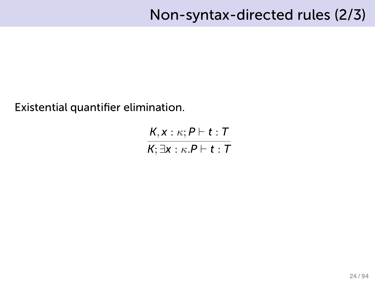### Non-syntax-directed rules (2/3)

Existential quantifier elimination.

$$
\frac{K, x : \kappa; P \vdash t : T}{K; \exists x : \kappa. P \vdash t : T}
$$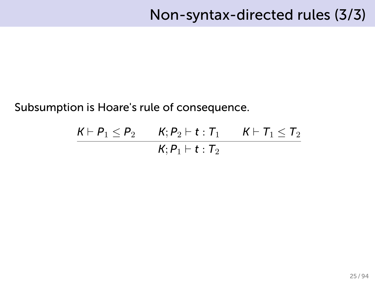### Non-syntax-directed rules (3/3)

Subsumption is Hoare's rule of consequence.

$$
\frac{K\vdash P_1\leq P_2\qquad K; P_2\vdash t: T_1\qquad K\vdash T_1\leq T_2}{K; P_1\vdash t: T_2}
$$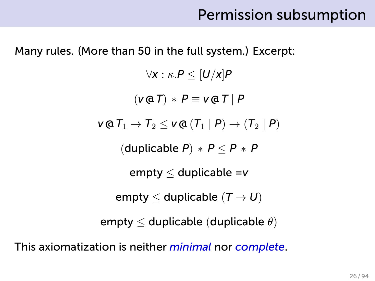### Permission subsumption

Many rules. (More than 50 in the full system.) Excerpt:

*∀x* : *κ.P ≤* [*U*/*x*]*P* (*v* @ *T*) *∗ P ≡ v* @ *T | P*  $v \in \mathcal{T}_1 \to \mathcal{T}_2 \leq v \in (\mathcal{T}_1 \mid P) \to (\mathcal{T}_2 \mid P)$  $($ duplicable  $P$ )  $*$   $P \leq P * P$ empty *≤* duplicable =*v* empty  $\leq$  duplicable  $(T \rightarrow U)$ empty *≤* duplicable (duplicable *θ*)

This axiomatization is neither *minimal* nor *complete*.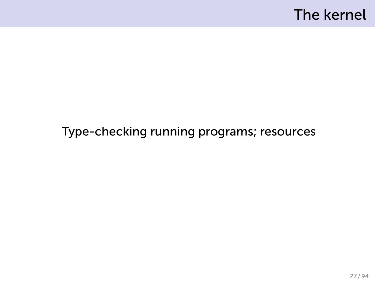### The kernel

#### Type-checking running programs; resources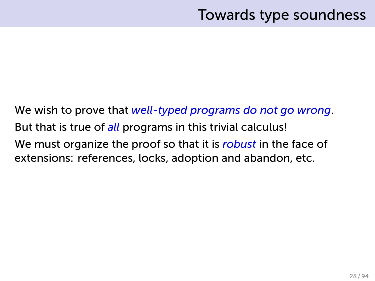### Towards type soundness

We wish to prove that *well-typed programs do not go wrong*. But that is true of *all* programs in this trivial calculus! We must organize the proof so that it is *robust* in the face of extensions: references, locks, adoption and abandon, etc.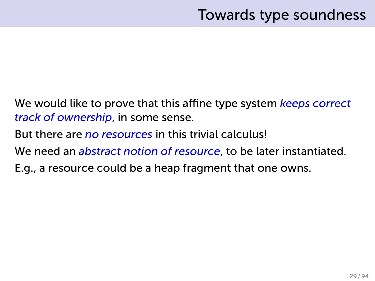We would like to prove that this affine type system *keeps correct track of ownership*, in some sense.

But there are *no resources* in this trivial calculus!

We need an *abstract notion of resource*, to be later instantiated.

E.g., a resource could be a heap fragment that one owns.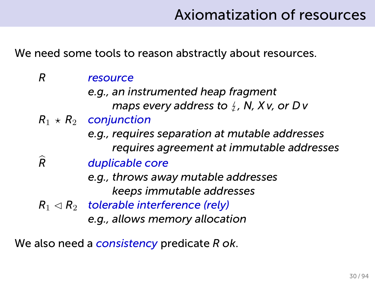We need some tools to reason abstractly about resources.

*R resource e.g., an instrumented heap fragment maps every address to*  $\frac{1}{2}$ *, N, X v, or D v*  $R_1 \star R_2$  *conjunction e.g., requires separation at mutable addresses requires agreement at immutable addresses R*b *duplicable core e.g., throws away mutable addresses keeps immutable addresses*  $R_1 \triangleleft R_2$  *tolerable interference (rely) e.g., allows memory allocation*

We also need a *consistency* predicate *R ok*.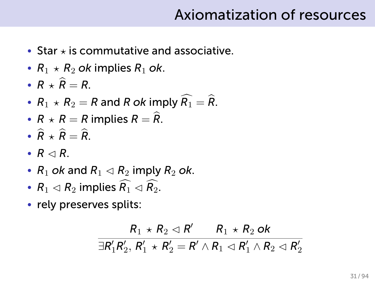# Axiomatization of resources

- Star *⋆* is commutative and associative.
- $R_1 \star R_2$  *ok* implies  $R_1$  *ok*.
- $R + \widehat{R} = R$ .
- $R_1 \times R_2 = R$  and R ok imply  $\widehat{R_1} = \widehat{R}$ .
- $R \times R = R$  implies  $R = \widehat{R}$ .
- $\hat{R} + \hat{R} = \hat{R}$
- $R \triangleleft R$ .
- $R_1$  *ok* and  $R_1 \triangleleft R_2$  imply  $R_2$  *ok*.
- $R_1 \triangleleft R_2$  implies  $\widehat{R_1} \triangleleft \widehat{R_2}$ .
- rely preserves splits:

$$
\frac{R_1 \times R_2 \triangleleft R'}{\exists R'_1 R'_2, R'_1 \times R'_2 = R' \land R_1 \triangleleft R'_1 \land R_2 \triangleleft R'_2}
$$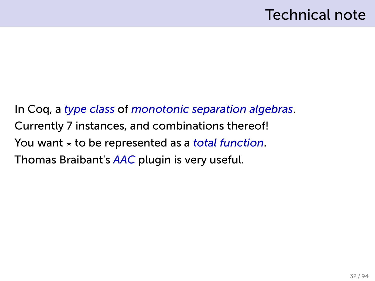# Technical note

In Coq, a *type class* of *monotonic separation algebras*. Currently 7 instances, and combinations thereof! You want *⋆* to be represented as a *total function*. Thomas Braibant's *AAC* plugin is very useful.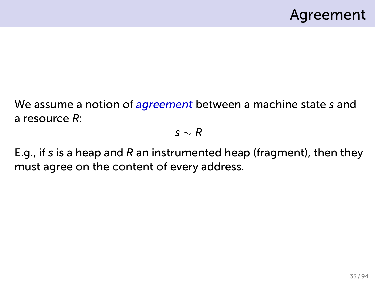We assume a notion of *agreement* between a machine state *s* and a resource *R*:

#### *s ∼ R*

E.g., if *s* is a heap and *R* an instrumented heap (fragment), then they must agree on the content of every address.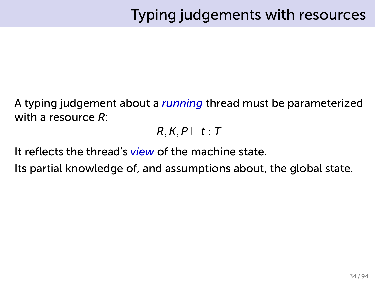# Typing judgements with resources

A typing judgement about a *running* thread must be parameterized with a resource *R*:

*R, K, P ⊢ t* : *T*

It reflects the thread's *view* of the machine state.

Its partial knowledge of, and assumptions about, the global state.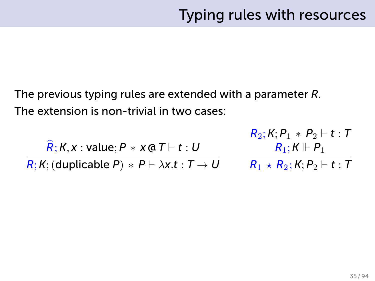The previous typing rules are extended with a parameter *R*. The extension is non-trivial in two cases:

$$
\frac{\widehat{R}; K, x : \text{value}; P * x \text{ @ } T \vdash t : U}{R; K; (\text{duplicable } P) * P \vdash \lambda x. t : T \rightarrow U}
$$

 $R_2$ ; *K*;  $P_1 * P_2 \vdash t : T$  $R_1$ ; *K* ⊩  $P_1$  $R_1 \star R_2$ ; *K*;  $P_2 \vdash t : T$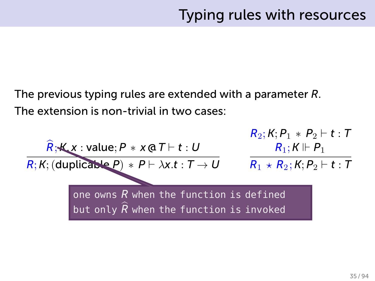*R*<sub>2</sub>; *K*; *P*<sub>1</sub> *∗ P*<sub>2</sub> *⊢ t* · *T* 

The previous typing rules are extended with a parameter *R*. The extension is non-trivial in two cases:

| $\hat{R}; K x : value; P * x \text{ a } T \vdash t : U$                                 | $R_1; K \Vdash P_1$ |
|-----------------------------------------------------------------------------------------|---------------------|
| $R; K; (duplicable P) * P \vdash \lambda x.t : T \rightarrow U$                         | $R_1; K \Vdash P_1$ |
| one owns R when the function is defined but only $\hat{R}$ when the function is invoked |                     |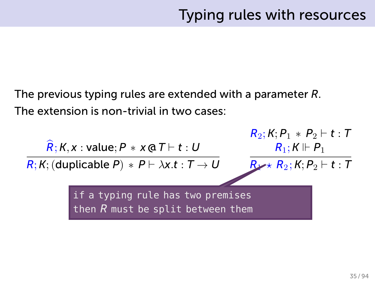The previous typing rules are extended with a parameter *R*. The extension is non-trivial in two cases:

$$
R_2; K; P_1 * P_2 \vdash t : T
$$
\n
$$
\overbrace{R; K; (\text{duplicable } P) * P \vdash \lambda x.t : T \rightarrow U}_{\text{if a typing rule has two premises}}
$$
\n
$$
R_1; K \Vdash P_1
$$
\n
$$
\overbrace{R \rightarrow k R_2; K; P_2 \vdash t : T}_{\text{if a typing rule has two premises}}
$$
\n
$$
R_2; K; P_1 * P_2 \vdash t : T
$$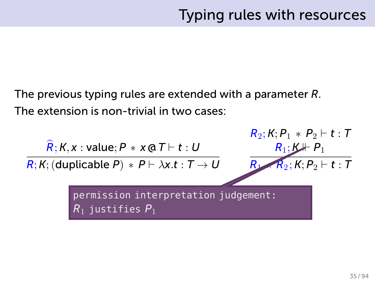The previous typing rules are extended with a parameter *R*. The extension is non-trivial in two cases:

$$
\begin{array}{ccc}\n\widehat{R}; K, x: \text{value}; P * x \in T \vdash t: U & R_1; K \vdash P_1 & F_2 \vdash t: T \\
\hline\nR; K; (\text{double } P) * P \vdash \lambda x. t: T \rightarrow U & R_1; K \vdash P_1 & \\
 & \downarrow \quad R_2; K; P_2 \vdash t: T \\
 & \downarrow \quad R_1 \text{ justifies } P_1 & \\
 & \downarrow \quad R_2 \text{ with } R_1 \text{ with } P_2 \text{ with } P_1\n\end{array}
$$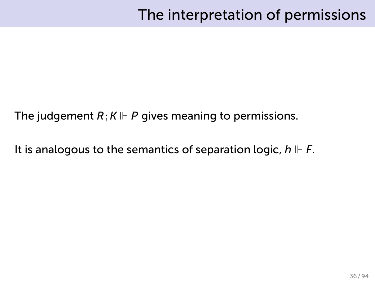The judgement  $R; K \Vdash P$  gives meaning to permissions.

It is analogous to the semantics of separation logic, *h* ⊩ *F*.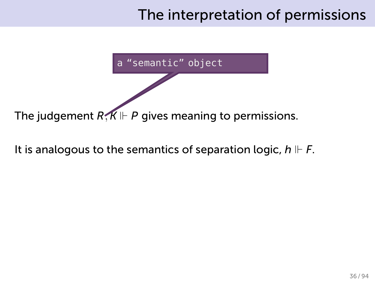

The judgement  $R, K \Vdash P$  gives meaning to permissions.

It is analogous to the semantics of separation logic, *h* ⊩ *F*.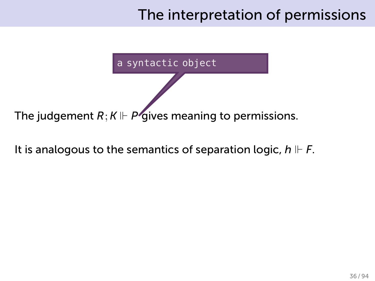

It is analogous to the semantics of separation logic, *h* ⊩ *F*.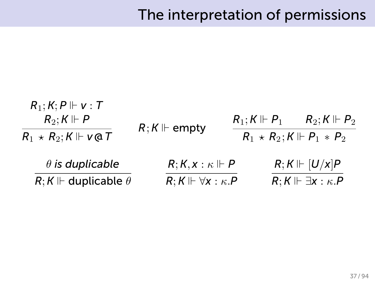$$
R_1; K; P \Vdash v : T
$$
\n
$$
R_2; K \Vdash P
$$
\n
$$
R_1 \star R_2; K \Vdash v \text{ or } R; K \Vdash \text{empty}
$$
\n
$$
R_1 \star R_2; K \Vdash v \text{ or } R_2; K \Vdash v \text{ or } R_1 \star R_2; K \Vdash P_1 \star P_2
$$
\n
$$
\theta \text{ is duplicate}
$$
\n
$$
R; K; X: \kappa \Vdash P
$$
\n
$$
R; K \Vdash \forall x: \kappa. P
$$
\n
$$
R; K \Vdash \exists x: \kappa. P
$$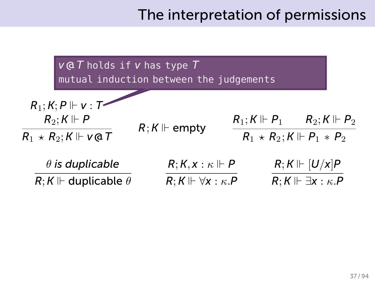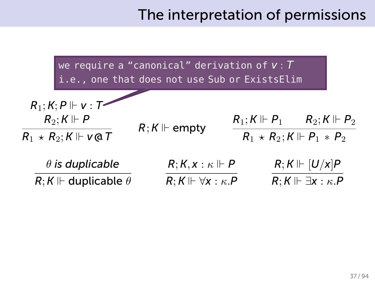$R_1; K; P \Vdash v : T$  $R_2$ ; *K* ⊩ *P*  $R_1 \star R_2$ ; *K* ⊩ *v* **a** *T R* . ; *K* ⊩ empty  $R_1$ ;  $K \Vdash P_1$  *R*<sub>2</sub>;  $K \Vdash P_2$  $R_1 \times R_2$ ;  $K \Vdash P_1 \times P_2$ *θ is duplicable* .  $R$ ; *K* ⊩ duplicable  $\theta$  $R$ ;  $K$ ,  $\mathsf{x}$   $:$   $\kappa$   $\Vdash$   $P$ *R*; *K* ⊩ *∀x* : *κ.P R*; *K* ⊩ [*U*/*x*]*P R*; *K* ⊩ *∃x* : *κ.P* we require a "canonical" derivation of *v* : *T* i.e., one that does not use Sub or ExistsElim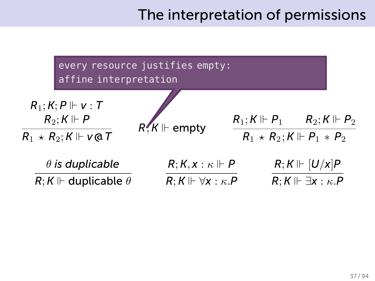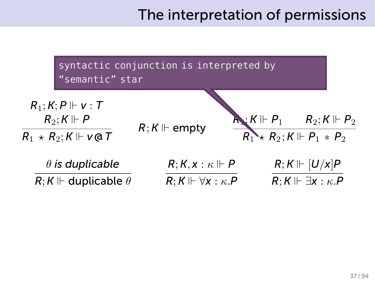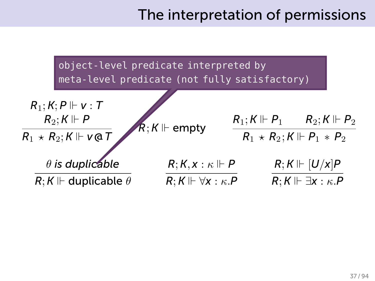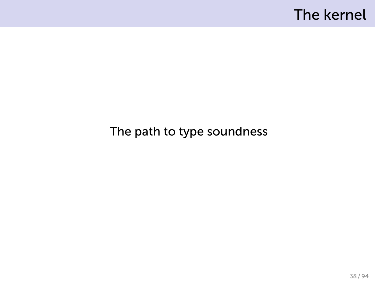### The kernel

#### The path to type soundness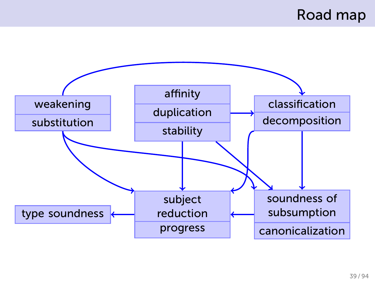## Road map

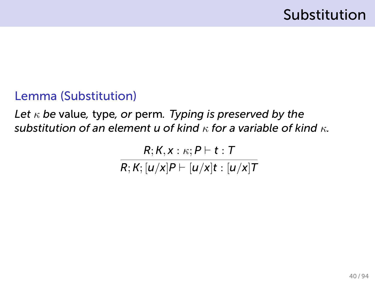#### Lemma (Substitution)

*Let κ be* value*,* type*, or* perm*. Typing is preserved by the substitution of an element u of kind κ for a variable of kind κ.*

> $R; K, x: \kappa; P \vdash t: T$ *R*;  $K$ ;  $[u/x]P$  *⊢*  $[u/x]$ *t* :  $[u/x]T$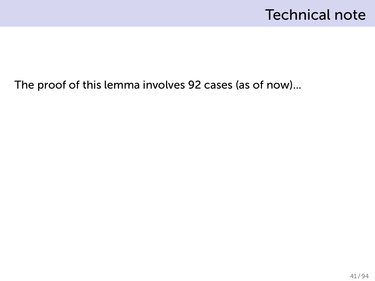### Technical note

#### The proof of this lemma involves 92 cases (as of now)...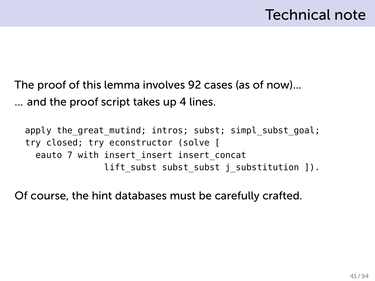# Technical note

The proof of this lemma involves 92 cases (as of now)... ... and the proof script takes up 4 lines.

apply the great mutind; intros; subst; simpl subst goal; try closed; try econstructor (solve [ eauto 7 with insert\_insert insert\_concat lift subst subst subst j substitution ]).

Of course, the hint databases must be carefully crafted.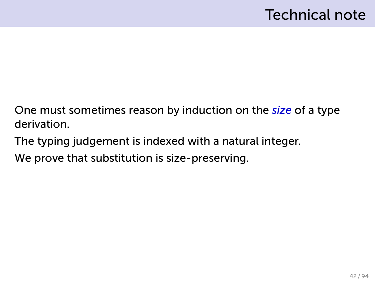One must sometimes reason by induction on the *size* of a type derivation.

The typing judgement is indexed with a natural integer.

We prove that substitution is size-preserving.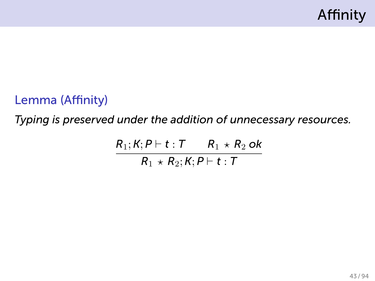

#### Lemma (Affinity)

*Typing is preserved under the addition of unnecessary resources.*

 $R_1; K; P \vdash t : T$   $R_1 \star R_2$  *ok*  $R_1 \times R_2$ ; *K*; *P*  $\vdash t : T$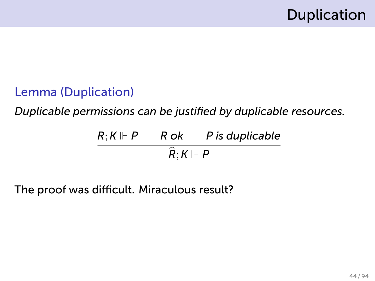#### Lemma (Duplication)

*Duplicable permissions can be justified by duplicable resources.*

$$
\frac{R; K \Vdash P \qquad R \text{ ok} \qquad P \text{ is duplicate}}{\widehat{R}; K \Vdash P}
$$

The proof was difficult. Miraculous result?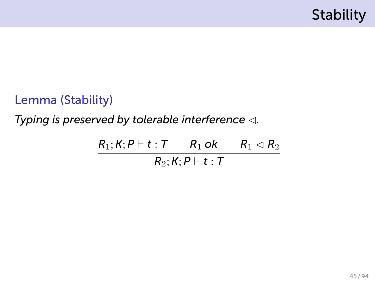

#### Lemma (Stability)

#### *Typing is preserved by tolerable interference* ◁*.*

 $R_1; K; P \vdash t : T$   $R_1$  *ok*  $R_1 \triangleleft R_2$ *R*2; *K*; *P ⊢ t* : *T*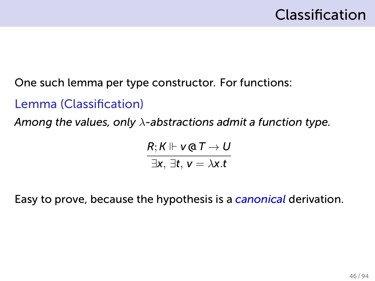#### One such lemma per type constructor. For functions:

#### Lemma (Classification)

*Among the values, only λ-abstractions admit a function type.*

 $R; K \Vdash v \mathfrak{a} \tau \rightarrow U$ *∃x, ∃t, v* = *λx.t*

Easy to prove, because the hypothesis is a *canonical* derivation.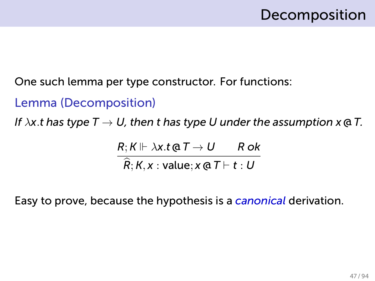#### One such lemma per type constructor. For functions:

#### Lemma (Decomposition)

*If λx.t has type T → U, then t has type U under the assumption x* @ *T.*

$$
\frac{R; K \Vdash \lambda x. t \mathfrak{a} \mathcal{T} \to U \qquad R \text{ ok}}{\widehat{R}; K, x : \text{value}; x \mathfrak{a} \mathcal{T} \vdash t : U}
$$

Easy to prove, because the hypothesis is a *canonical* derivation.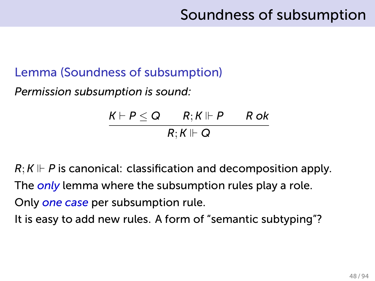#### Lemma (Soundness of subsumption)

*Permission subsumption is sound:*

$$
\frac{K\vdash P\leq Q\qquad R; K\Vdash P\qquad R\text{ ok}}{R; K\Vdash Q}
$$

 $R$ ;  $K \Vdash P$  is canonical: classification and decomposition apply. The *only* lemma where the subsumption rules play a role. Only *one case* per subsumption rule. It is easy to add new rules. A form of "semantic subtyping"?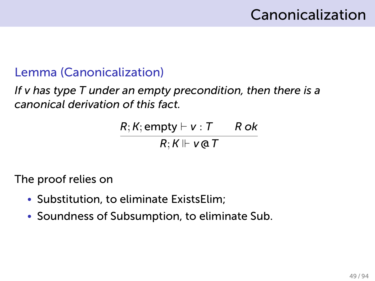# Canonicalization

#### Lemma (Canonicalization)

*If v has type T under an empty precondition, then there is a canonical derivation of this fact.*

$$
\frac{R; K; \text{empty} \vdash v : T \qquad R \text{ ok}}{R; K \Vdash v \text{@} T}
$$

The proof relies on

- Substitution, to eliminate ExistsElim;
- Soundness of Subsumption, to eliminate Sub.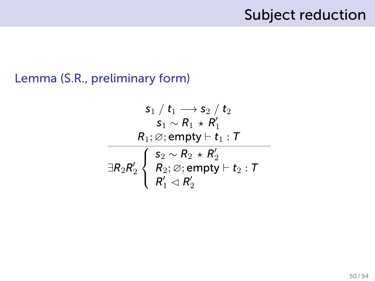## Subject reduction

#### Lemma (S.R., preliminary form)

$$
\begin{array}{c} \mathsf{s}_1 \ / \ \mathsf{t}_1 \longrightarrow \mathsf{s}_2 \ / \ \mathsf{t}_2 \\ \mathsf{s}_1 \sim \mathsf{R}_1 \ \star \ \mathsf{R}_1' \\ \mathsf{R}_1 ; \varnothing ; \mathsf{empty} \vdash \mathsf{t}_1 : \mathcal{T} \\ \hline \exists \mathsf{R}_2 \mathsf{R}_2' \left\{ \begin{array}{l} \mathsf{s}_2 \sim \mathsf{R}_2 \ \star \ \mathsf{R}_2' \\ \mathsf{R}_2 ; \varnothing ; \mathsf{empty} \vdash \mathsf{t}_2 : \mathcal{T} \\ \mathsf{R}_1' \vartriangleleft \mathsf{R}_2' \end{array} \right. \end{array}
$$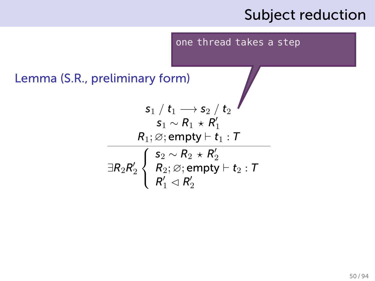### Subject reduction

one thread takes a step

Lemma (S.R., preliminary form)

$$
\begin{matrix} \mathsf{s}_1 \ / \ t_1 \longrightarrow \mathsf{s}_2 \ / \ t_2 \\ \mathsf{s}_1 \sim \mathsf{R}_1 \ \star \ \mathsf{R}_1' \\ \mathsf{R}_1 ; \varnothing ; \mathsf{empty} \vdash t_1 : \mathsf{T} \\ \hline \exists \mathsf{R}_2 \mathsf{R}_2' \left\{ \begin{array}{l} \mathsf{s}_2 \sim \mathsf{R}_2 \ \star \ \mathsf{R}_2' \\ \mathsf{R}_2 ; \varnothing ; \mathsf{empty} \vdash t_2 : \mathsf{T} \\ \mathsf{R}_1' \vartriangleleft \mathsf{R}_2' \end{array} \right. \end{matrix}
$$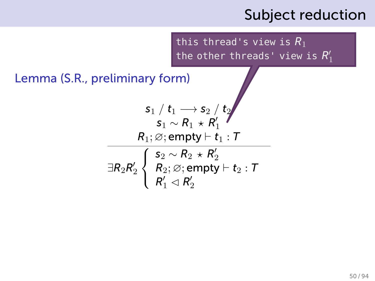this thread's view is *R*<sup>1</sup> the other threads' view is  $R'_1$ 

$$
\begin{matrix} \mathsf{s}_1 \ / \ t_1 \longrightarrow \mathsf{s}_2 \ / \ \mathsf{t}_2 \\ \mathsf{s}_1 \sim R_1 \star R_1' \end{matrix} \\ \hline \begin{matrix} R_1 ; \varnothing ; \mathsf{empty} \vdash t_1 : \mathcal{T} \\ \exists R_2 R_2' \end{matrix} \\ \hline \exists R_2 R_2' \begin{matrix} \mathsf{s}_2 \sim R_2 \star R_2' \\ R_2 ; \varnothing ; \mathsf{empty} \vdash t_2 : \mathcal{T} \\ R_1' \lhd R_2' \end{matrix} \end{matrix}
$$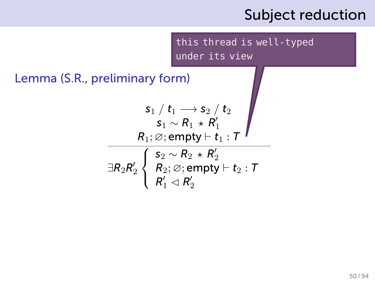this thread is well-typed under its view

$$
\begin{array}{c|c} \mathsf{s}_1 \ / \ \mathsf{t}_1 \longrightarrow \mathsf{s}_2 \ / \ \mathsf{t}_2 \\ \mathsf{s}_1 \sim R_1 \ \star \ R'_1 \\ \hline \mathsf{R}_1 ; \varnothing ; \mathsf{empty} \vdash \mathsf{t}_1 : \mathsf{T} \\ \hline \exists \mathsf{R}_2 \mathsf{R}'_2 \left\{ \begin{array}{l} \mathsf{s}_2 \sim \mathsf{R}_2 \ \star \ \mathsf{R}'_2 \\ \mathsf{R}_2 ; \varnothing ; \mathsf{empty} \vdash \mathsf{t}_2 : \mathsf{T} \\ \mathsf{R}'_1 \lhd \mathsf{R}'_2 \end{array} \right. \end{array}
$$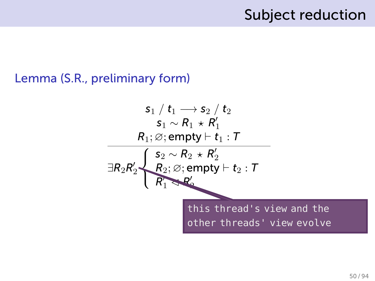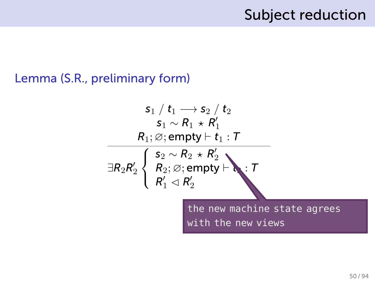$$
\begin{array}{c|l} s_1 \ / \ t_1 \longrightarrow s_2 \ / \ t_2 \\ \hline s_1 \sim R_1 \star R_1' \\ \hline R_1 ; \varnothing ; \mathsf{empty} \vdash t_1 : \mathcal{T} \\ \hline \exists R_2 R_2' \left\{ \begin{array}{l} s_2 \sim R_2 \star R_2' \\ R_2 ; \varnothing ; \mathsf{empty} \vdash \bullet : \mathcal{T} \\ R_1' \lhd R_2' \end{array} \right. ; \mathcal{T} \\ \hline \end{array} \right. \quad \begin{array}{c} \text{the new machine state agrees} \\ \text{with the new views} \end{array}
$$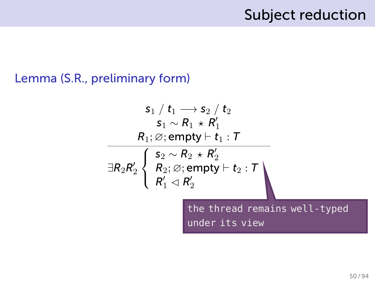$$
\begin{array}{c}\n\mathsf{s}_1 \ / \ t_1 \longrightarrow \mathsf{s}_2 \ / \ t_2 \\
\mathsf{s}_1 \sim R_1 \ \star R_1' \\
\hline\nR_1; \varnothing; \mathsf{empty} \vdash t_1 : \mathsf{T} \\
\hline\n\exists R_2 R_2' \left\{\n\begin{array}{c}\n\mathsf{s}_2 \sim R_2 \ \star R_2' \\
\mathsf{R}_2; \varnothing; \mathsf{empty} \vdash t_2 : \mathsf{T} \\
\mathsf{R}_1' \lhd \mathsf{R}_2' \\
\hline\n\end{array}\n\right\} \\
\text{the thread remains well-type} \\
\text{under its view}\n\end{array}
$$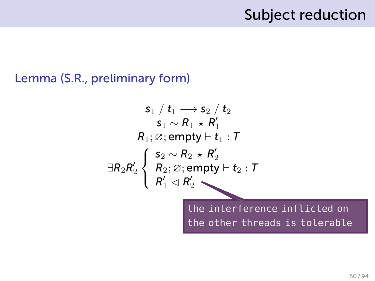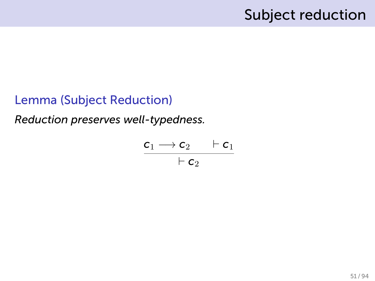#### Lemma (Subject Reduction)

*Reduction preserves well-typedness.*

$$
\frac{\mathsf{c}_1 \longrightarrow \mathsf{c}_2 \qquad \vdash \mathsf{c}_1}{\vdash \mathsf{c}_2}
$$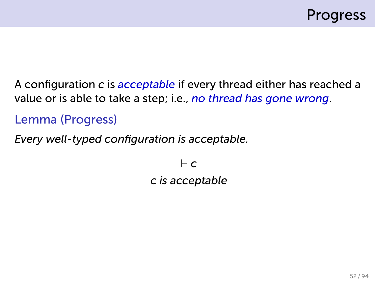

A configuration *c* is *acceptable* if every thread either has reached a value or is able to take a step; i.e., *no thread has gone wrong*.

Lemma (Progress)

*Every well-typed configuration is acceptable.*

*⊢ c*

*c is acceptable*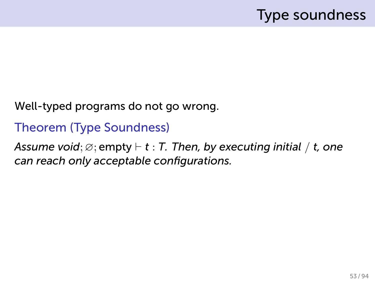### Type soundness

#### Well-typed programs do not go wrong.

#### Theorem (Type Soundness)

*Assume void*; ∅; empty *⊢ t* : *T. Then, by executing initial* / *t, one can reach only acceptable configurations.*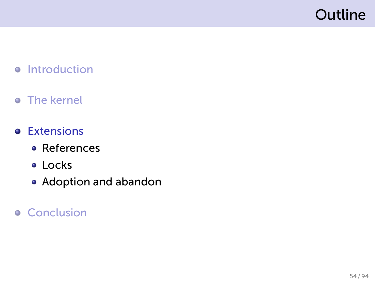# Outline

- **•** Introduction
- **•** The kernel
- **•** Extensions
	- References
	- Locks
	- Adoption and abandon
- **•** Conclusion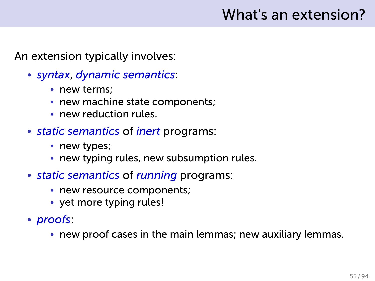## What's an extension?

An extension typically involves:

- *syntax*, *dynamic semantics*:
	- new terms:
	- new machine state components;
	- new reduction rules.
- *static semantics* of *inert* programs:
	- new types;
	- new typing rules, new subsumption rules.
- *static semantics* of *running* programs:
	- new resource components;
	- yet more typing rules!
- *proofs*:
	- new proof cases in the main lemmas; new auxiliary lemmas.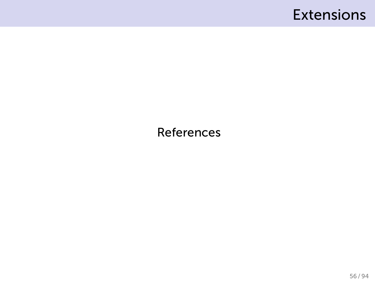#### Extensions

#### References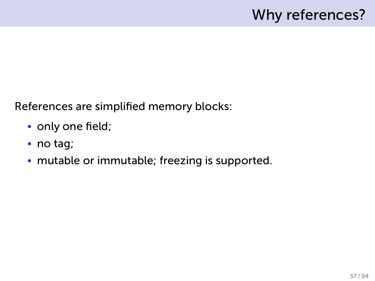# Why references?

References are simplified memory blocks:

- only one field;
- no tag;
- mutable or immutable; freezing is supported.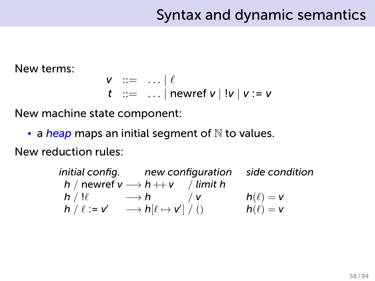### Syntax and dynamic semantics

New terms:

$$
\begin{array}{ll}\n\mathsf{v} & ::= & \ldots \mid \ell \\
\mathsf{t} & ::= & \ldots \mid \mathsf{newref}\, \mathsf{v} \mid !\mathsf{v} \mid \mathsf{v} := \mathsf{v}\n\end{array}
$$

New machine state component:

• a *heap* maps an initial segment of N to values.

New reduction rules:

*initial config. new configuration side condition h* / newref *v −→ h* ++ *v* / *limit h h* / !ℓ → *h* / *v h*(*ℓ*) = *v*  $h \mid \ell := \mathsf{v}' \quad \longrightarrow h[\ell \mapsto \mathsf{v}'] \mid \text{ } (\text{)} \quad \qquad h(\ell) = \mathsf{v}'$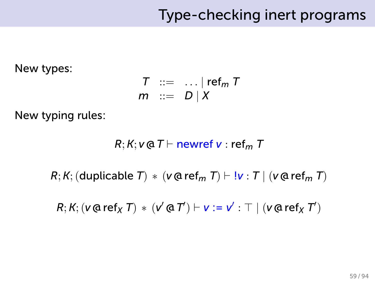#### Type-checking inert programs

New types:

$$
T ::= ... | \operatorname{ref}_m T
$$
  

$$
m ::= D | X
$$

New typing rules:

*R*; *K*; *v*  $\alpha$  *T ⊢* newref *v* : ref<sub>*m*</sub> *T* 

*R*; *K*; (duplicable *T*)  $*$  (*v* @ ref<sub>*m*</sub> *T*) *⊢ !v* : *T* | (*v* @ ref<sub>*m*</sub> *T*)

 $R; K; (v \oplus \mathsf{ref}_X T) * (v' \oplus T') \vdash v := v' : \top | (v \oplus \mathsf{ref}_X T')$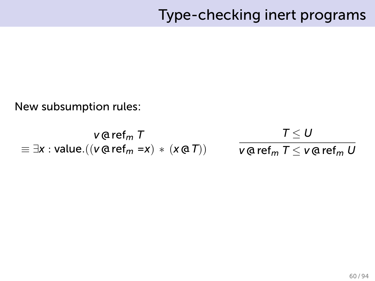New subsumption rules:

$$
v@refm T
$$
  

$$
\equiv \exists x : value. ((v@refm = x) * (x@T))
$$

$$
\dfrac{T \leq U}{v \mathop{\rm \,deg}\nolimits_m T \leq v \mathop{\rm \,deg}\nolimits_m U}
$$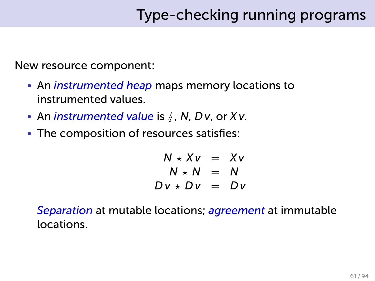New resource component:

- An *instrumented heap* maps memory locations to instrumented values.
- An *instrumented value* is  $\frac{1}{2}$ , *N*, *Dv*, or *Xv*.
- The composition of resources satisfies:

$$
N \times Xv = Xv
$$
  

$$
N \times N = N
$$
  

$$
Dv \times Dv = Dv
$$

*Separation* at mutable locations; *agreement* at immutable locations.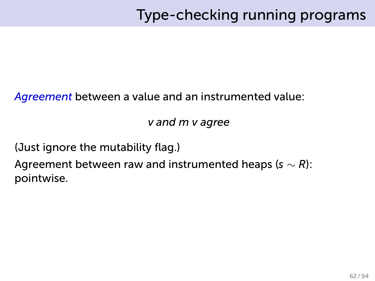#### *Agreement* between a value and an instrumented value:

*v and m v agree*

(Just ignore the mutability flag.)

Agreement between raw and instrumented heaps (*s ∼ R*): pointwise.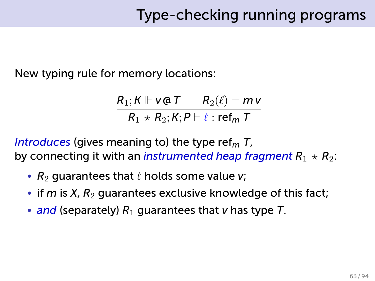New typing rule for memory locations:

$$
\frac{R_1; K \Vdash v \mathfrak{C} T \qquad R_2(\ell) = m v}{R_1 \star R_2; K; P \vdash \ell : \mathsf{ref}_m T}
$$

*Introduces* (gives meaning to) the type ref*<sup>m</sup> T*, by connecting it with an *instrumented heap fragment*  $R_1 \star R_2$ :

- $R_2$  quarantees that  $\ell$  holds some value *v*;
- if  $m$  is  $X$ ,  $R_2$  guarantees exclusive knowledge of this fact;
- *and* (separately)  $R_1$  guarantees that *v* has type T.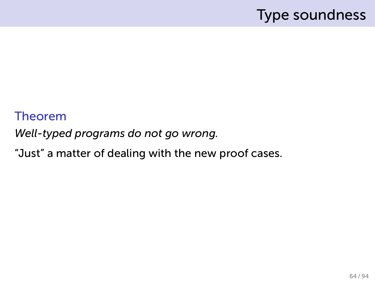### Type soundness

#### Theorem *Well-typed programs do not go wrong.*

"Just" a matter of dealing with the new proof cases.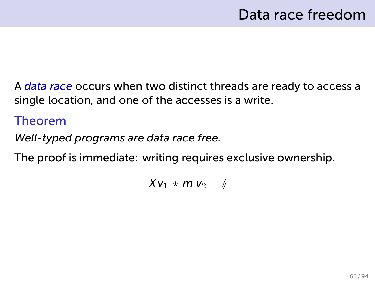A *data race* occurs when two distinct threads are ready to access a single location, and one of the accesses is a write.

#### Theorem

*Well-typed programs are data race free.*

The proof is immediate: writing requires exclusive ownership.

 $Xv_1 \star m v_2 = \frac{1}{2}$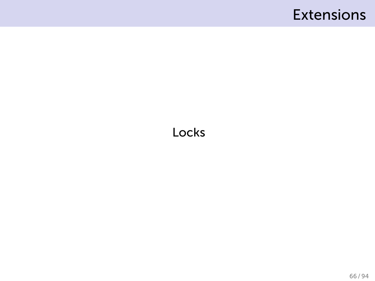#### Extensions

#### Locks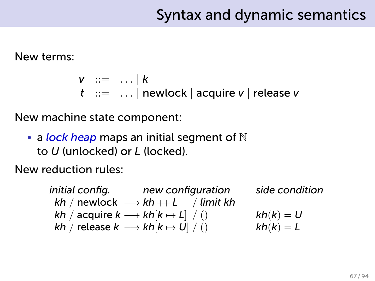### Syntax and dynamic semantics

#### New terms:

$$
\begin{array}{ll}\n v & ::= & ... | k \\
 t & ::= & ... | newlock | acquire v | release v\n\end{array}
$$

New machine state component:

• a *lock heap* maps an initial segment of N to *U* (unlocked) or *L* (locked).

New reduction rules:

*initial config. new configuration side condition kh* / newlock *−→ kh* ++ *L* / *limit kh*  $kh / \text{ acquire } k \longrightarrow kh[k \mapsto L] / ()$   $kh(k) = U$  $kh /$  release  $k \longrightarrow kh[k \mapsto U] / ()$   $kh(k) = L$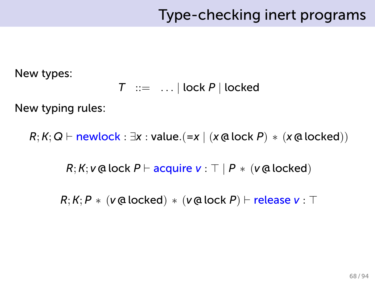New types:

$$
T ::= \ldots | \text{lock } P | \text{locked}
$$

New typing rules:

*R*; *K*; *Q ⊢* newlock : *∃x* : value*.*(=*x |* (*x* @ lock *P*) *∗* (*x* @ locked))

*R*; *K*; *v* @ lock *P ⊢* acquire *v* : *⊤ | P ∗* (*v* @ locked)

*R*; *K*; *P ∗* (*v* @ locked) *∗* (*v* @ lock *P*) *⊢* release *v* : *⊤*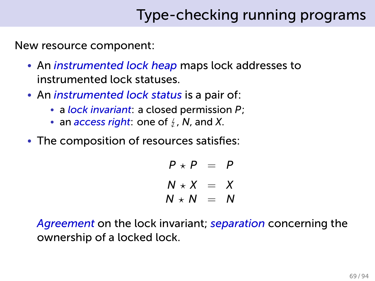New resource component:

- An *instrumented lock heap* maps lock addresses to instrumented lock statuses.
- An *instrumented lock status* is a pair of:
	- a *lock invariant*: a closed permission *P* . ;
	- an *access right*: one of  $\frac{1}{2}$ , N, and X.
- The composition of resources satisfies:

 $P * P = P$  $N \star X = X$  $N \star N = N$ 

*Agreement* on the lock invariant; *separation* concerning the ownership of a locked lock.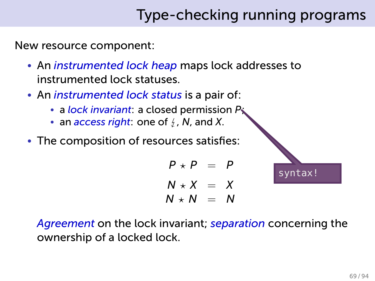New resource component:

- An *instrumented lock heap* maps lock addresses to instrumented lock statuses.
- An *instrumented lock status* is a pair of:
	- a *lock invariant*: a closed permission *P* . ;
	- an *access right*: one of  $\frac{1}{2}$ , N, and X.
- The composition of resources satisfies:

```
P * P = PN \star X = XN \star N = N
```
syntax!

*Agreement* on the lock invariant; *separation* concerning the ownership of a locked lock.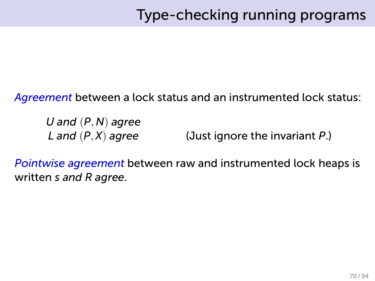*Agreement* between a lock status and an instrumented lock status:

*U and* (*P, N*) *agree L and* (*P, X*) *agree* (Just ignore the invariant *P*.)

*Pointwise agreement* between raw and instrumented lock heaps is written *s and R agree*.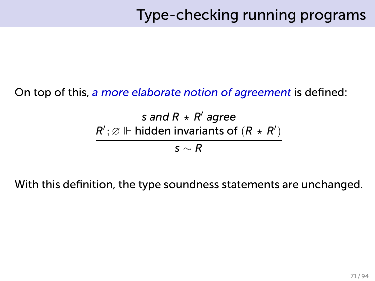#### On top of this, *a more elaborate notion of agreement* is defined:

$$
s \text{ and } R \star R' \text{ agree}
$$
\n
$$
\frac{R'; \varnothing \Vdash \text{hidden invariants of } (R \star R')}{s \sim R}
$$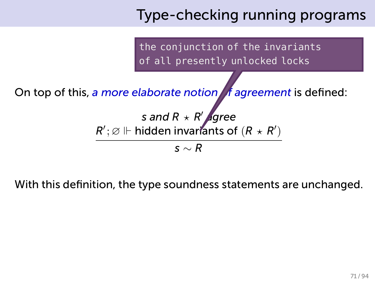the conjunction of the invariants of all presently unlocked locks

On top of this, *a more elaborate notion* f *agreement* is defined:

*s and R ⋆ R ′ agree*  $R';\varnothing \Vdash$  hidden invariants of  $(R \star R')$ 

*s ∼ R* .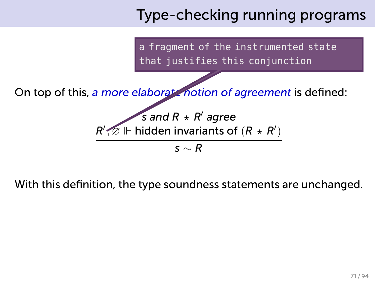a fragment of the instrumented state that justifies this conjunction

On top of this, *a more elaborate notion of agreement* is defined:

### *s and R ⋆ R ′ agree*  $R',\varnothing \Vdash$  hidden invariants of  $(R\,\star\, R')$

*s ∼ R* .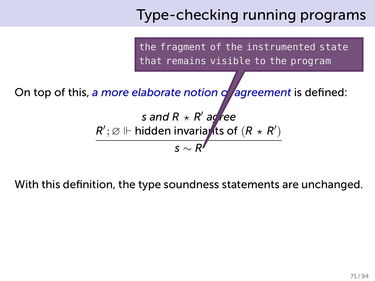

On top of this, *a more elaborate notion of agreement* is defined:

$$
s \text{ and } R \star R' \text{ agree}
$$
  
\n
$$
\frac{R'; \varnothing \Vdash \text{hidden invariants of } (R \star R')}{s \sim R'}
$$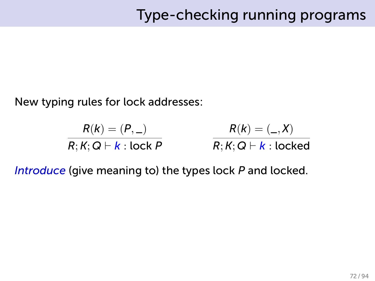New typing rules for lock addresses:

$$
\frac{R(k) = (P, \underline{\hspace{1cm}})}{R; K; \mathbf{Q} \vdash k : \mathsf{lock}\,P}
$$

$$
\frac{R(k) = (-, X)}{R; K; Q \vdash k : \text{locked}}
$$

*Introduce* (give meaning to) the types lock *P* and locked.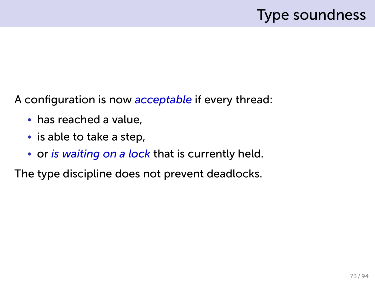### Type soundness

A configuration is now *acceptable* if every thread:

- has reached a value,
- is able to take a step,
- or *is waiting on a lock* that is currently held.

The type discipline does not prevent deadlocks.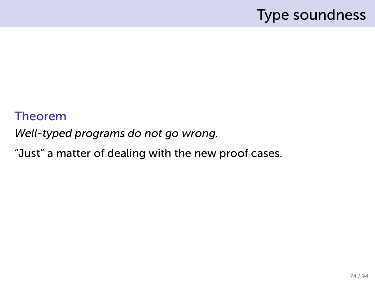### Type soundness

#### Theorem *Well-typed programs do not go wrong.*

"Just" a matter of dealing with the new proof cases.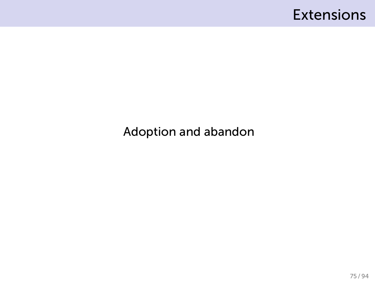#### Extensions

#### Adoption and abandon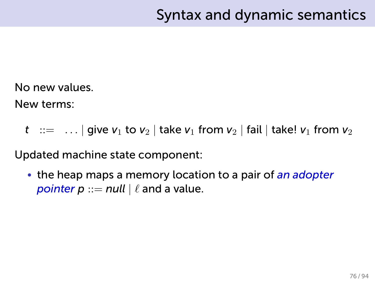No new values.

New terms:

 $t$  ::= ... | give  $v_1$  to  $v_2$  | take  $v_1$  from  $v_2$  | fail | take!  $v_1$  from  $v_2$ 

Updated machine state component:

• the heap maps a memory location to a pair of *an adopter pointer*  $p ::= null \mid \ell$  and a value.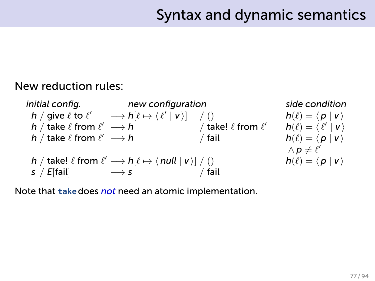#### New reduction rules:



*∧ p*  $\neq$  *ℓ*′

Note that **take** does *not* need an atomic implementation.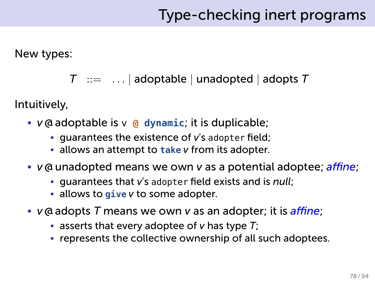New types:

*T* ::= *. . . |* adoptable *|* unadopted *|* adopts *T*

Intuitively,

- *v* @ adoptable is v **@ dynamic**; it is duplicable;
	- guarantees the existence of *v*'s adopter field;
	- allows an attempt to **take** *v* from its adopter.
- *v* @ unadopted means we own *v* as a potential adoptee; *affine*;
	- guarantees that *v*'s adopter field exists and is *null*;
	- allows to **give** *v* to some adopter.
- *v* @ adopts *T* means we own *v* as an adopter; it is *affine*;
	- asserts that every adoptee of *v* has type *T*;
	- represents the collective ownership of all such adoptees.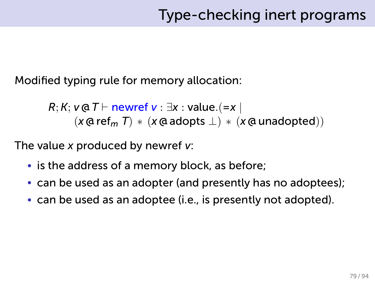Modified typing rule for memory allocation:

```
R; K; v @ T ⊢ newref v : ∃x : value.(=x |
(x @ refm T) ∗ (x @ adopts ⊥) ∗ (x @ unadopted))
```
The value *x* produced by newref *v*:

- is the address of a memory block, as before;
- can be used as an adopter (and presently has no adoptees);
- can be used as an adoptee (i.e., is presently not adopted).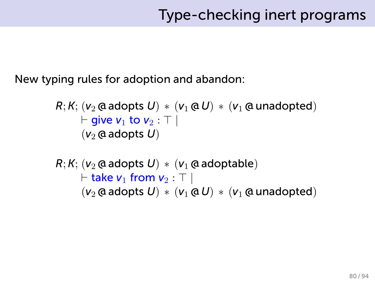New typing rules for adoption and abandon:

$$
R; K; (v_2 \oslash \mathsf{adopts } U) * (v_1 \oslash U) * (v_1 \oslash \mathsf{undopted})
$$
  
 
$$
\vdash \mathsf{give } v_1 \mathsf{ to } v_2 : \top |
$$
  
 
$$
(v_2 \oslash \mathsf{adopts } U)
$$

 $R; K; (v_2 \odot a$  adopts  $U) * (v_1 \odot a$  adoptable) *⊢* take *v*<sup>1</sup> from *v*<sup>2</sup> : *⊤ |*  $(v_2 \, \text{d} \, \text{ad} \, \text{opts} \, U) * (v_1 \, \text{d} \, U) * (v_1 \, \text{d} \, \text{undopted})$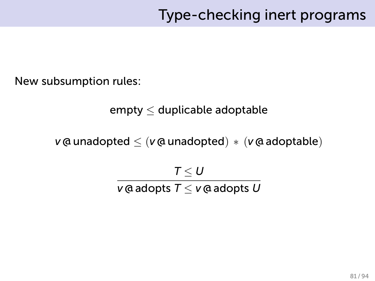New subsumption rules:

empty *≤* duplicable adoptable

*v* @ unadopted *≤* (*v* @ unadopted) *∗* (*v* @ adoptable)

*T ≤ U v* @ adopts *T ≤ v* @ adopts *U*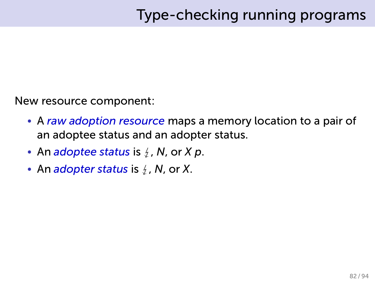New resource component:

- A *raw adoption resource* maps a memory location to a pair of an adoptee status and an adopter status.
- An *adoptee status* is  $f$ , *N*, or *X p*.
- An *adopter status* is  $\frac{1}{2}$ , *N*, or *X*.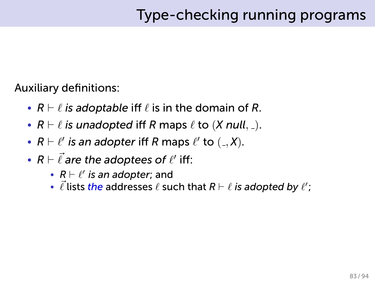Auxiliary definitions:

- *R ⊢ ℓ is adoptable* iff *ℓ* is in the domain of *R*.
- *R ⊢ ℓ is unadopted* iff *R* maps *ℓ* to (*X null,* ).
- *R ⊢ ℓ ′ is an adopter* iff *R* maps *ℓ ′* to ( *, X*).
- *R ⊢ ⃗ℓ are the adoptees of ℓ ′* iff:
	- *R ⊢ ℓ ′ is an adopter*; and
	- *⃗ℓ* lists *the* addresses *ℓ* such that *R ⊢ ℓ is adopted by ℓ ′* ;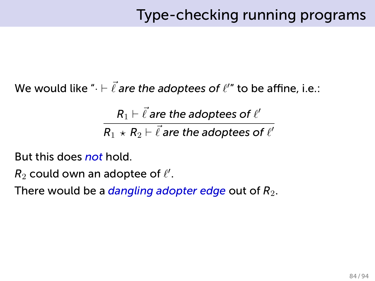$\bm{\mathsf{W}}$ e would like " $\cdot \vdash \vec{\ell}$  *are the adoptees of*  $\ell''$  *to be affine, i.e.:* 

 $R_1 \vdash \vec{\ell}$  are the adoptees of  $\ell'$  $R_1 \, \star \, R_2 \vdash \vec{\ell}$  are the adoptees of  $\ell'$ 

But this does *not* hold.

*R*<sup>2</sup> could own an adoptee of *ℓ ′* .

There would be a *dangling adopter edge* out of  $R_2$ .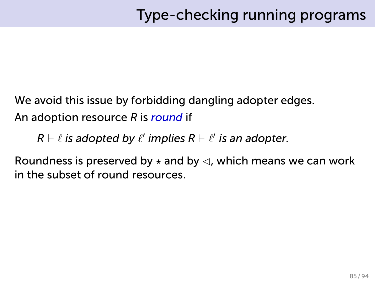We avoid this issue by forbidding dangling adopter edges. An adoption resource *R* is *round* if

*R ⊢ ℓ is adopted by ℓ ′ implies R ⊢ ℓ ′ is an adopter.*

Roundness is preserved by *⋆* and by ◁, which means we can work in the subset of round resources.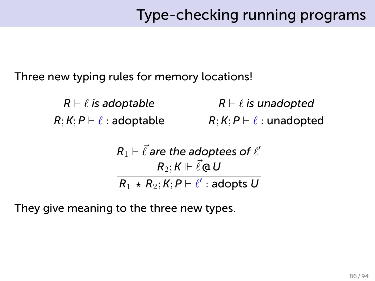Three new typing rules for memory locations!

*R ⊢ ℓ is adoptable*  $R; K; P \vdash \ell$  : adoptable *R ⊢ ℓ is unadopted*  $R; K; P \vdash \ell$ : unadopted  $R_1 \vdash \vec{\ell}$  are the adoptees of  $\ell'$  $R_2$ ;  $K \Vdash \vec{\ell} \, \text{a} \, U$ *R*<sup>1</sup> *⋆ R*2; *K*; *P ⊢ ℓ ′* : adopts *U*

They give meaning to the three new types.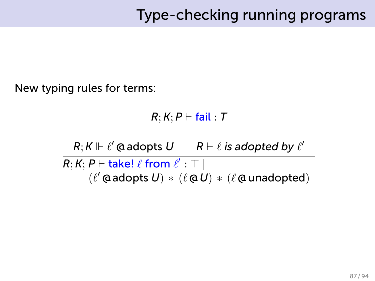New typing rules for terms:

*R*; *K*; *P ⊢* fail : *T*

*R*; *K* ⊩ *ℓ ′* @ adopts *U R ⊢ ℓ is adopted by ℓ ′ R*; *K*; *P ⊢* take! *ℓ* from *ℓ ′* : *⊤ |* (*ℓ ′* @ adopts *U*) *∗* (*ℓ* @ *U*) *∗* (*ℓ* @ unadopted)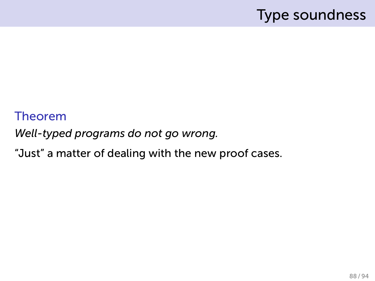#### Type soundness

#### Theorem *Well-typed programs do not go wrong.*

"Just" a matter of dealing with the new proof cases.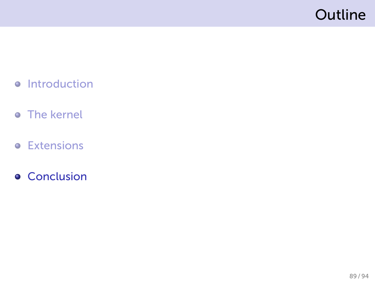# Outline

- **•** Introduction
- **•** The kernel
- **•** Extensions
- **Conclusion**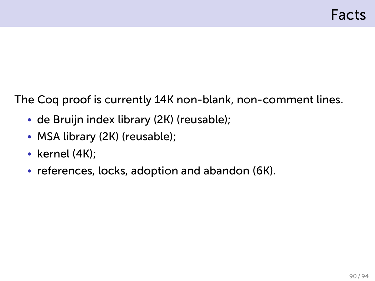The Coq proof is currently 14K non-blank, non-comment lines.

- de Bruijn index library (2K) (reusable);
- MSA library (2K) (reusable);
- kernel (4K);
- references, locks, adoption and abandon (6K).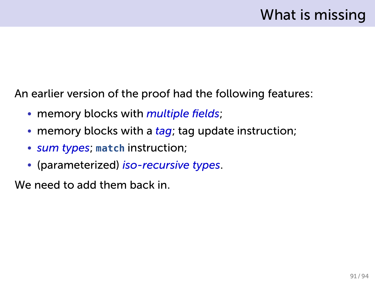An earlier version of the proof had the following features:

- memory blocks with *multiple fields*;
- memory blocks with a *tag*; tag update instruction;
- *sum types*; **match** instruction;
- (parameterized) *iso-recursive types*.

We need to add them back in.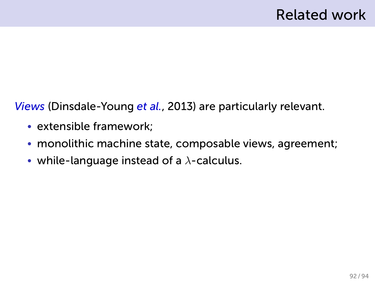*Views* (Dinsdale-Young *et al.*, 2013) are particularly relevant.

- extensible framework;
- monolithic machine state, composable views, agreement;
- while-language instead of a *λ*-calculus.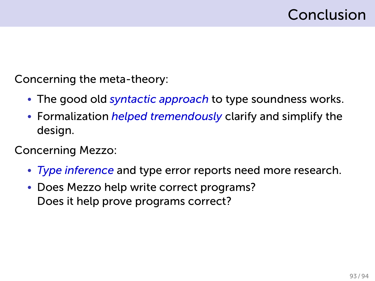Concerning the meta-theory:

- The good old *syntactic approach* to type soundness works.
- Formalization *helped tremendously* clarify and simplify the design.

Concerning Mezzo:

- *Type inference* and type error reports need more research.
- Does Mezzo help write correct programs? Does it help prove programs correct?